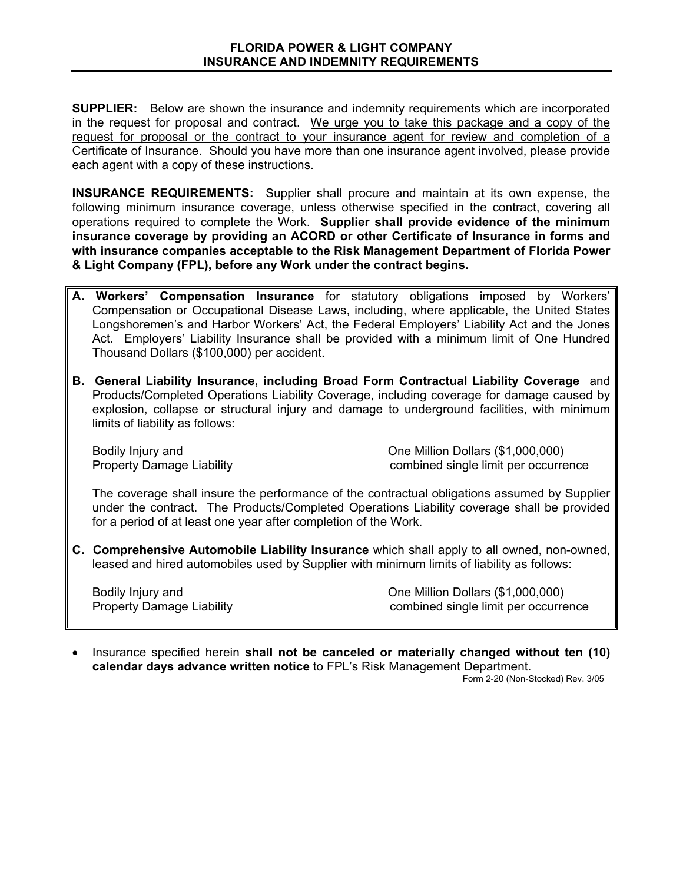**SUPPLIER:** Below are shown the insurance and indemnity requirements which are incorporated in the request for proposal and contract. We urge you to take this package and a copy of the request for proposal or the contract to your insurance agent for review and completion of a Certificate of Insurance. Should you have more than one insurance agent involved, please provide each agent with a copy of these instructions.

**INSURANCE REQUIREMENTS:** Supplier shall procure and maintain at its own expense, the following minimum insurance coverage, unless otherwise specified in the contract, covering all operations required to complete the Work. **Supplier shall provide evidence of the minimum insurance coverage by providing an ACORD or other Certificate of Insurance in forms and with insurance companies acceptable to the Risk Management Department of Florida Power & Light Company (FPL), before any Work under the contract begins.** 

- **A. Workers' Compensation Insurance** for statutory obligations imposed by Workers' Compensation or Occupational Disease Laws, including, where applicable, the United States Longshoremen's and Harbor Workers' Act, the Federal Employers' Liability Act and the Jones Act. Employers' Liability Insurance shall be provided with a minimum limit of One Hundred Thousand Dollars (\$100,000) per accident.
- **B. General Liability Insurance, including Broad Form Contractual Liability Coverage** and Products/Completed Operations Liability Coverage, including coverage for damage caused by explosion, collapse or structural injury and damage to underground facilities, with minimum limits of liability as follows:

Bodily Injury and **Dollars (\$1,000,000)** One Million Dollars (\$1,000,000) Property Damage Liability **Combined Strategie Interventional Strategie Combined Single limit per occurrence** 

The coverage shall insure the performance of the contractual obligations assumed by Supplier under the contract. The Products/Completed Operations Liability coverage shall be provided for a period of at least one year after completion of the Work.

**C. Comprehensive Automobile Liability Insurance** which shall apply to all owned, non-owned, leased and hired automobiles used by Supplier with minimum limits of liability as follows:

Bodily Injury and **Dollars (\$1,000,000)** One Million Dollars (\$1,000,000) Property Damage Liability **Combined Strategie Institute Combined Strategie limit per occurrence** 

• Insurance specified herein **shall not be canceled or materially changed without ten (10) calendar days advance written notice** to FPL's Risk Management Department.

Form 2-20 (Non-Stocked) Rev. 3/05